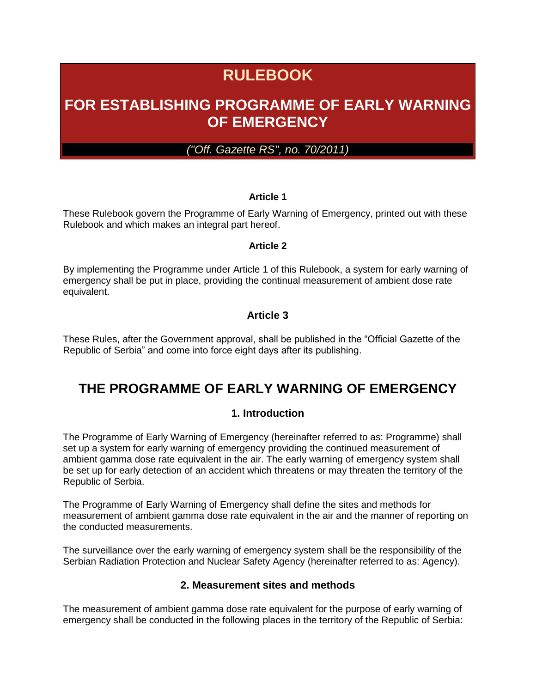# **RULEBOOK**

## **FOR ESTABLISHING PROGRAMME OF EARLY WARNING OF EMERGENCY**

*("Off. Gazette RS", no. 70/2011)*

#### **Article 1**

These Rulebook govern the Programme of Early Warning of Emergency, printed out with these Rulebook and which makes an integral part hereof.

#### **Article 2**

By implementing the Programme under Article 1 of this Rulebook, a system for early warning of emergency shall be put in place, providing the continual measurement of ambient dose rate equivalent.

#### **Article 3**

These Rules, after the Government approval, shall be published in the "Official Gazette of the Republic of Serbia" and come into force eight days after its publishing.

### **THE PROGRAMME OF EARLY WARNING OF EMERGENCY**

#### **1. Introduction**

The Programme of Early Warning of Emergency (hereinafter referred to as: Programme) shall set up a system for early warning of emergency providing the continued measurement of ambient gamma dose rate equivalent in the air. The early warning of emergency system shall be set up for early detection of an accident which threatens or may threaten the territory of the Republic of Serbia.

The Programme of Early Warning of Emergency shall define the sites and methods for measurement of ambient gamma dose rate equivalent in the air and the manner of reporting on the conducted measurements.

The surveillance over the early warning of emergency system shall be the responsibility of the Serbian Radiation Protection and Nuclear Safety Agency (hereinafter referred to as: Agency).

#### **2. Measurement sites and methods**

The measurement of ambient gamma dose rate equivalent for the purpose of early warning of emergency shall be conducted in the following places in the territory of the Republic of Serbia: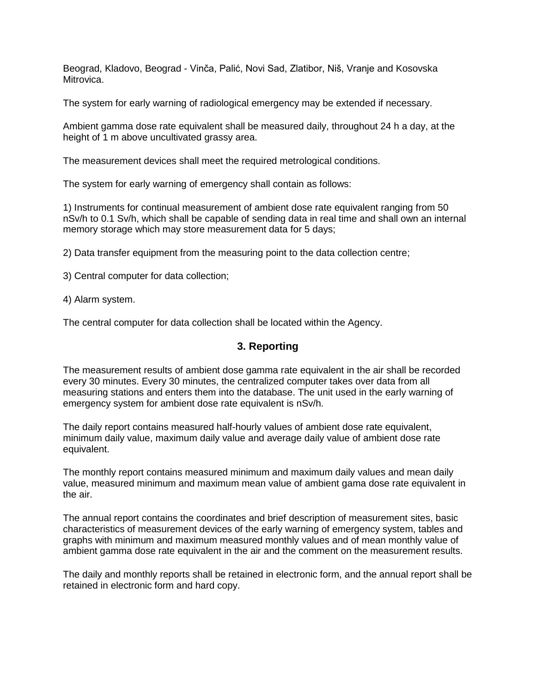Beograd, Kladovo, Beograd - Vinča, Palić, Novi Sad, Zlatibor, Niš, Vranje and Kosovska **Mitrovica** 

The system for early warning of radiological emergency may be extended if necessary.

Ambient gamma dose rate equivalent shall be measured daily, throughout 24 h a day, at the height of 1 m above uncultivated grassy area.

The measurement devices shall meet the required metrological conditions.

The system for early warning of emergency shall contain as follows:

1) Instruments for continual measurement of ambient dose rate equivalent ranging from 50 nSv/h to 0.1 Sv/h, which shall be capable of sending data in real time and shall own an internal memory storage which may store measurement data for 5 days;

2) Data transfer equipment from the measuring point to the data collection centre;

3) Central computer for data collection;

4) Alarm system.

The central computer for data collection shall be located within the Agency.

#### **3. Reporting**

The measurement results of ambient dose gamma rate equivalent in the air shall be recorded every 30 minutes. Every 30 minutes, the centralized computer takes over data from all measuring stations and enters them into the database. The unit used in the early warning of emergency system for ambient dose rate equivalent is nSv/h.

The daily report contains measured half-hourly values of ambient dose rate equivalent, minimum daily value, maximum daily value and average daily value of ambient dose rate equivalent.

The monthly report contains measured minimum and maximum daily values and mean daily value, measured minimum and maximum mean value of ambient gama dose rate equivalent in the air.

The annual report contains the coordinates and brief description of measurement sites, basic characteristics of measurement devices of the early warning of emergency system, tables and graphs with minimum and maximum measured monthly values and of mean monthly value of ambient gamma dose rate equivalent in the air and the comment on the measurement results.

The daily and monthly reports shall be retained in electronic form, and the annual report shall be retained in electronic form and hard copy.